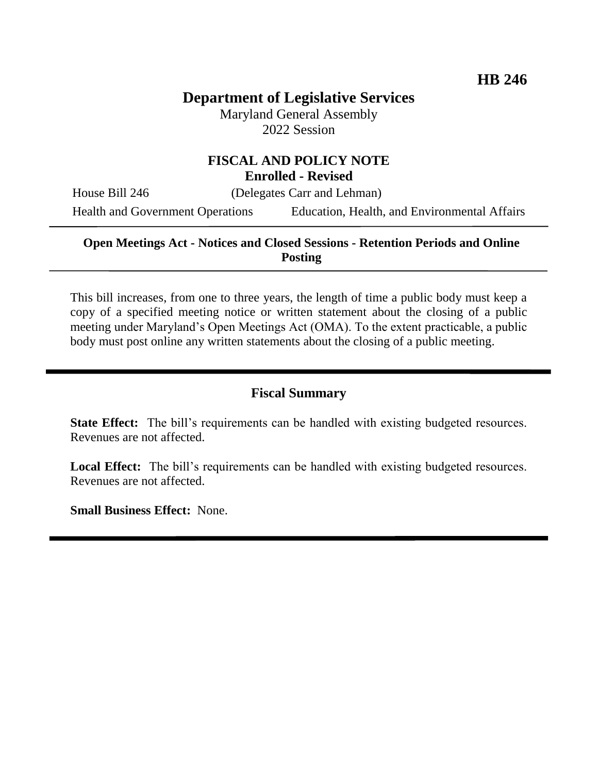# **Department of Legislative Services**

Maryland General Assembly 2022 Session

## **FISCAL AND POLICY NOTE Enrolled - Revised**

House Bill 246 (Delegates Carr and Lehman)

Health and Government Operations Education, Health, and Environmental Affairs

## **Open Meetings Act - Notices and Closed Sessions - Retention Periods and Online Posting**

This bill increases, from one to three years, the length of time a public body must keep a copy of a specified meeting notice or written statement about the closing of a public meeting under Maryland's Open Meetings Act (OMA). To the extent practicable, a public body must post online any written statements about the closing of a public meeting.

## **Fiscal Summary**

**State Effect:** The bill's requirements can be handled with existing budgeted resources. Revenues are not affected.

Local Effect: The bill's requirements can be handled with existing budgeted resources. Revenues are not affected.

**Small Business Effect:** None.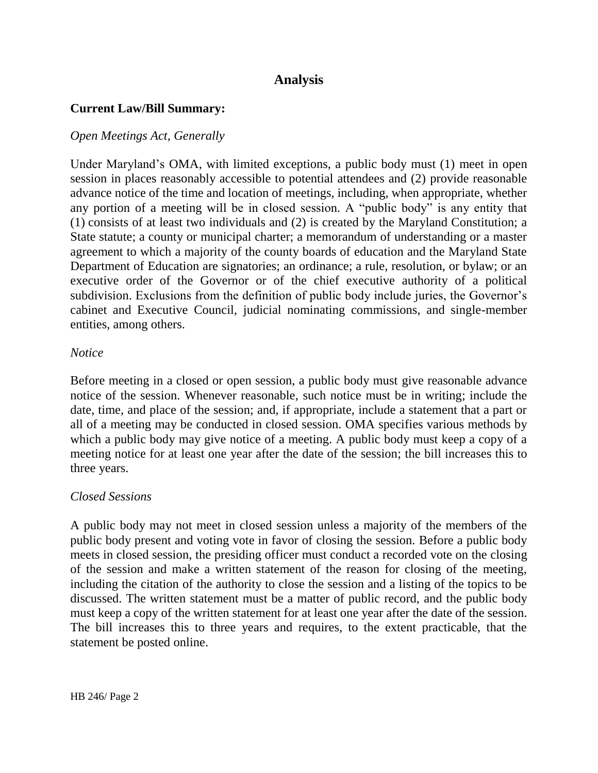## **Analysis**

### **Current Law/Bill Summary:**

### *Open Meetings Act, Generally*

Under Maryland's OMA, with limited exceptions, a public body must (1) meet in open session in places reasonably accessible to potential attendees and (2) provide reasonable advance notice of the time and location of meetings, including, when appropriate, whether any portion of a meeting will be in closed session. A "public body" is any entity that (1) consists of at least two individuals and (2) is created by the Maryland Constitution; a State statute; a county or municipal charter; a memorandum of understanding or a master agreement to which a majority of the county boards of education and the Maryland State Department of Education are signatories; an ordinance; a rule, resolution, or bylaw; or an executive order of the Governor or of the chief executive authority of a political subdivision. Exclusions from the definition of public body include juries, the Governor's cabinet and Executive Council, judicial nominating commissions, and single-member entities, among others.

#### *Notice*

Before meeting in a closed or open session, a public body must give reasonable advance notice of the session. Whenever reasonable, such notice must be in writing; include the date, time, and place of the session; and, if appropriate, include a statement that a part or all of a meeting may be conducted in closed session. OMA specifies various methods by which a public body may give notice of a meeting. A public body must keep a copy of a meeting notice for at least one year after the date of the session; the bill increases this to three years.

#### *Closed Sessions*

A public body may not meet in closed session unless a majority of the members of the public body present and voting vote in favor of closing the session. Before a public body meets in closed session, the presiding officer must conduct a recorded vote on the closing of the session and make a written statement of the reason for closing of the meeting, including the citation of the authority to close the session and a listing of the topics to be discussed. The written statement must be a matter of public record, and the public body must keep a copy of the written statement for at least one year after the date of the session. The bill increases this to three years and requires, to the extent practicable, that the statement be posted online.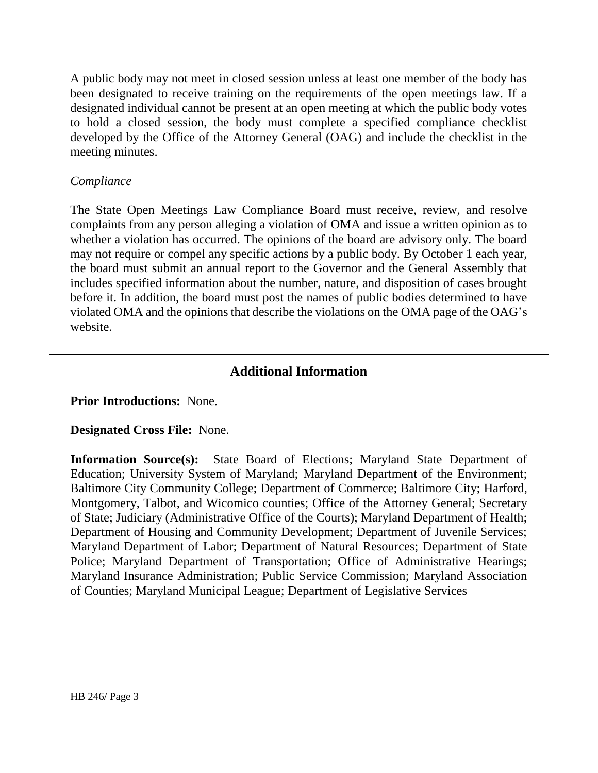A public body may not meet in closed session unless at least one member of the body has been designated to receive training on the requirements of the open meetings law. If a designated individual cannot be present at an open meeting at which the public body votes to hold a closed session, the body must complete a specified compliance checklist developed by the Office of the Attorney General (OAG) and include the checklist in the meeting minutes.

## *Compliance*

The State Open Meetings Law Compliance Board must receive, review, and resolve complaints from any person alleging a violation of OMA and issue a written opinion as to whether a violation has occurred. The opinions of the board are advisory only. The board may not require or compel any specific actions by a public body. By October 1 each year, the board must submit an annual report to the Governor and the General Assembly that includes specified information about the number, nature, and disposition of cases brought before it. In addition, the board must post the names of public bodies determined to have violated OMA and the opinions that describe the violations on the OMA page of the OAG's website.

## **Additional Information**

## **Prior Introductions:** None.

#### **Designated Cross File:** None.

**Information Source(s):** State Board of Elections; Maryland State Department of Education; University System of Maryland; Maryland Department of the Environment; Baltimore City Community College; Department of Commerce; Baltimore City; Harford, Montgomery, Talbot, and Wicomico counties; Office of the Attorney General; Secretary of State; Judiciary (Administrative Office of the Courts); Maryland Department of Health; Department of Housing and Community Development; Department of Juvenile Services; Maryland Department of Labor; Department of Natural Resources; Department of State Police; Maryland Department of Transportation; Office of Administrative Hearings; Maryland Insurance Administration; Public Service Commission; Maryland Association of Counties; Maryland Municipal League; Department of Legislative Services